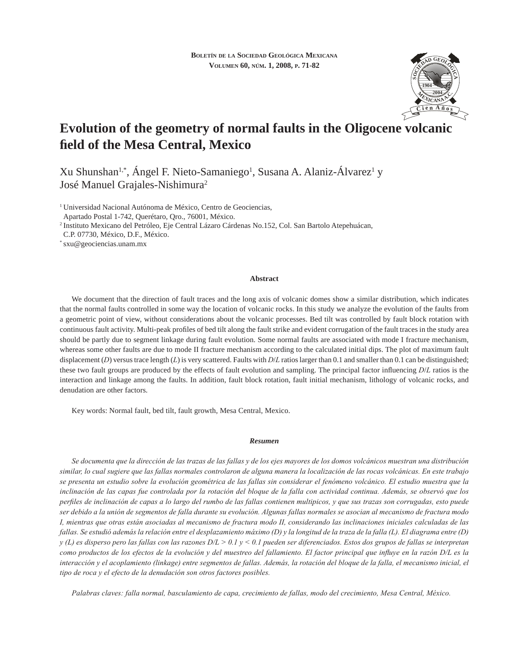

# **Evolution of the geometry of normal faults in the Oligocene volcanic fi eld of the Mesa Central, Mexico**

Xu Shunshan<sup>1,\*</sup>, Ángel F. Nieto-Samaniego<sup>1</sup>, Susana A. Alaniz-Álvarez<sup>1</sup> y José Manuel Grajales-Nishimura2

1 Universidad Nacional Autónoma de México, Centro de Geociencias,

Apartado Postal 1-742, Querétaro, Qro., 76001, México.

2 Instituto Mexicano del Petróleo, Eje Central Lázaro Cárdenas No.152, Col. San Bartolo Atepehuácan,

C.P. 07730, México, D.F., México.

\* sxu@geociencias.unam.mx

## **Abstract**

We document that the direction of fault traces and the long axis of volcanic domes show a similar distribution, which indicates that the normal faults controlled in some way the location of volcanic rocks. In this study we analyze the evolution of the faults from a geometric point of view, without considerations about the volcanic processes. Bed tilt was controlled by fault block rotation with continuous fault activity. Multi-peak profiles of bed tilt along the fault strike and evident corrugation of the fault traces in the study area should be partly due to segment linkage during fault evolution. Some normal faults are associated with mode I fracture mechanism, whereas some other faults are due to mode II fracture mechanism according to the calculated initial dips. The plot of maximum fault displacement (*D*) versus trace length (*L*) is very scattered. Faults with *D*/*L* ratios larger than 0.1 and smaller than 0.1 can be distinguished; these two fault groups are produced by the effects of fault evolution and sampling. The principal factor influencing *D*/*L* ratios is the interaction and linkage among the faults. In addition, fault block rotation, fault initial mechanism, lithology of volcanic rocks, and denudation are other factors.

Key words: Normal fault, bed tilt, fault growth, Mesa Central, Mexico.

#### *Resumen*

*Se documenta que la dirección de las trazas de las fallas y de los ejes mayores de los domos volcánicos muestran una distribución similar, lo cual sugiere que las fallas normales controlaron de alguna manera la localización de las rocas volcánicas. En este trabajo se presenta un estudio sobre la evolución geométrica de las fallas sin considerar el fenómeno volcánico. El estudio muestra que la inclinación de las capas fue controlada por la rotación del bloque de la falla con actividad continua. Además, se observó que los perfi les de inclinación de capas a lo largo del rumbo de las fallas contienen multipicos, y que sus trazas son corrugadas, esto puede ser debido a la unión de segmentos de falla durante su evolución. Algunas fallas normales se asocian al mecanismo de fractura modo I, mientras que otras están asociadas al mecanismo de fractura modo II, considerando las inclinaciones iniciales calculadas de las fallas. Se estudió además la relación entre el desplazamiento máximo (D) y la longitud de la traza de la falla (L). El diagrama entre (D) y (L) es disperso pero las fallas con las razones D/L > 0.1 y < 0.1 pueden ser diferenciados. Estos dos grupos de fallas se interpretan*  como productos de los efectos de la evolución y del muestreo del fallamiento. El factor principal que influye en la razón D/L es la *interacción y el acoplamiento (linkage) entre segmentos de fallas. Además, la rotación del bloque de la falla, el mecanismo inicial, el tipo de roca y el efecto de la denudación son otros factores posibles.* 

*Palabras claves: falla normal, basculamiento de capa, crecimiento de fallas, modo del crecimiento, Mesa Central, México.*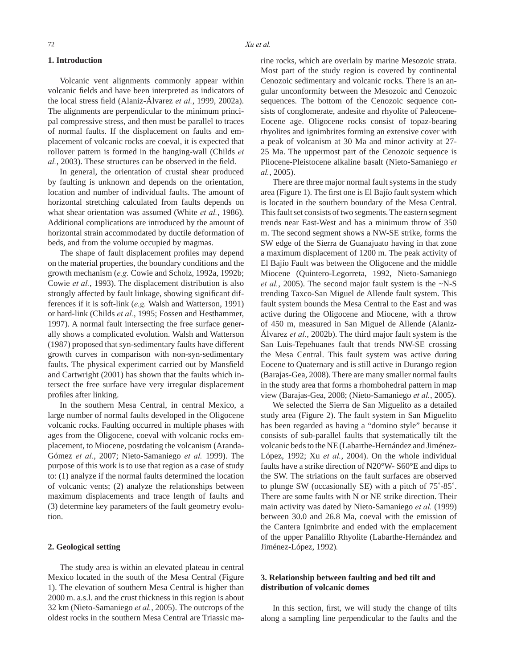#### **1. Introduction**

Volcanic vent alignments commonly appear within volcanic fields and have been interpreted as indicators of the local stress field (Alaniz-Álvarez et al., 1999, 2002a). The alignments are perpendicular to the minimum principal compressive stress, and then must be parallel to traces of normal faults. If the displacement on faults and emplacement of volcanic rocks are coeval, it is expected that rollover pattern is formed in the hanging-wall (Childs *et al.*, 2003). These structures can be observed in the field.

In general, the orientation of crustal shear produced by faulting is unknown and depends on the orientation, location and number of individual faults. The amount of horizontal stretching calculated from faults depends on what shear orientation was assumed (White *et al.*, 1986). Additional complications are introduced by the amount of horizontal strain accommodated by ductile deformation of beds, and from the volume occupied by magmas.

The shape of fault displacement profiles may depend on the material properties, the boundary conditions and the growth mechanism (*e.g.* Cowie and Scholz, 1992a, 1992b; Cowie *et al.*, 1993). The displacement distribution is also strongly affected by fault linkage, showing significant differences if it is soft-link (*e.g.* Walsh and Watterson, 1991) or hard-link (Childs *et al.*, 1995; Fossen and Hesthammer, 1997). A normal fault intersecting the free surface generally shows a complicated evolution. Walsh and Watterson (1987) proposed that syn-sedimentary faults have different growth curves in comparison with non-syn-sedimentary faults. The physical experiment carried out by Mansfield and Cartwright (2001) has shown that the faults which intersect the free surface have very irregular displacement profiles after linking.

In the southern Mesa Central, in central Mexico, a large number of normal faults developed in the Oligocene volcanic rocks. Faulting occurred in multiple phases with ages from the Oligocene, coeval with volcanic rocks emplacement, to Miocene, postdating the volcanism (Aranda-Gómez *et al.*, 2007; Nieto-Samaniego *et al.* 1999). The purpose of this work is to use that region as a case of study to: (1) analyze if the normal faults determined the location of volcanic vents; (2) analyze the relationships between maximum displacements and trace length of faults and (3) determine key parameters of the fault geometry evolution.

### **2. Geological setting**

The study area is within an elevated plateau in central Mexico located in the south of the Mesa Central (Figure 1). The elevation of southern Mesa Central is higher than 2000 m. a.s.l. and the crust thickness in this region is about 32 km (Nieto-Samaniego *et al.*, 2005). The outcrops of the oldest rocks in the southern Mesa Central are Triassic marine rocks, which are overlain by marine Mesozoic strata. Most part of the study region is covered by continental Cenozoic sedimentary and volcanic rocks. There is an angular unconformity between the Mesozoic and Cenozoic sequences. The bottom of the Cenozoic sequence consists of conglomerate, andesite and rhyolite of Paleocene-Eocene age. Oligocene rocks consist of topaz-bearing rhyolites and ignimbrites forming an extensive cover with a peak of volcanism at 30 Ma and minor activity at 27- 25 Ma. The uppermost part of the Cenozoic sequence is Pliocene-Pleistocene alkaline basalt (Nieto-Samaniego *et al.*, 2005).

There are three major normal fault systems in the study area (Figure 1). The first one is El Bajío fault system which is located in the southern boundary of the Mesa Central. This fault set consists of two segments. The eastern segment trends near East-West and has a minimum throw of 350 m. The second segment shows a NW-SE strike, forms the SW edge of the Sierra de Guanajuato having in that zone a maximum displacement of 1200 m. The peak activity of El Bajío Fault was between the Oligocene and the middle Miocene (Quintero-Legorreta, 1992, Nieto-Samaniego *et al.*, 2005). The second major fault system is the ~N-S trending Taxco-San Miguel de Allende fault system. This fault system bounds the Mesa Central to the East and was active during the Oligocene and Miocene, with a throw of 450 m, measured in San Miguel de Allende (Alaniz-Álvarez *et al.*, 2002b). The third major fault system is the San Luis-Tepehuanes fault that trends NW-SE crossing the Mesa Central. This fault system was active during Eocene to Quaternary and is still active in Durango region (Barajas-Gea, 2008). There are many smaller normal faults in the study area that forms a rhombohedral pattern in map view (Barajas-Gea, 2008; (Nieto-Samaniego *et al.*, 2005).

We selected the Sierra de San Miguelito as a detailed study area (Figure 2). The fault system in San Miguelito has been regarded as having a "domino style" because it consists of sub-parallel faults that systematically tilt the volcanic beds to the NE (Labarthe-Hernández and Jiménez-López, 1992; Xu *et al.*, 2004). On the whole individual faults have a strike direction of N20°W- S60°E and dips to the SW. The striations on the fault surfaces are observed to plunge SW (occasionally SE) with a pitch of 75˚-85˚. There are some faults with N or NE strike direction. Their main activity was dated by Nieto-Samaniego *et al.* (1999) between 30.0 and 26.8 Ma, coeval with the emission of the Cantera Ignimbrite and ended with the emplacement of the upper Panalillo Rhyolite (Labarthe-Hernández and Jiménez-López, 1992)*.* 

# **3. Relationship between faulting and bed tilt and distribution of volcanic domes**

In this section, first, we will study the change of tilts along a sampling line perpendicular to the faults and the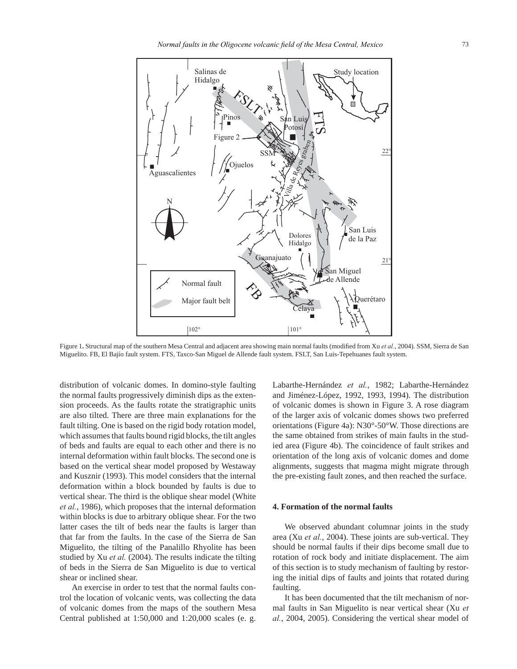

Figure 1. Structural map of the southern Mesa Central and adjacent area showing main normal faults (modified from Xu *et al.*, 2004). SSM, Sierra de San Miguelito. FB, El Bajío fault system. FTS, Taxco-San Miguel de Allende fault system. FSLT, San Luis-Tepehuanes fault system.

distribution of volcanic domes. In domino-style faulting the normal faults progressively diminish dips as the extension proceeds. As the faults rotate the stratigraphic units are also tilted. There are three main explanations for the fault tilting. One is based on the rigid body rotation model, which assumes that faults bound rigid blocks, the tilt angles of beds and faults are equal to each other and there is no internal deformation within fault blocks. The second one is based on the vertical shear model proposed by Westaway and Kusznir (1993). This model considers that the internal deformation within a block bounded by faults is due to vertical shear. The third is the oblique shear model (White *et al.*, 1986), which proposes that the internal deformation within blocks is due to arbitrary oblique shear. For the two latter cases the tilt of beds near the faults is larger than that far from the faults. In the case of the Sierra de San Miguelito, the tilting of the Panalillo Rhyolite has been studied by Xu *et al.* (2004). The results indicate the tilting of beds in the Sierra de San Miguelito is due to vertical shear or inclined shear.

An exercise in order to test that the normal faults control the location of volcanic vents, was collecting the data of volcanic domes from the maps of the southern Mesa Central published at 1:50,000 and 1:20,000 scales (e. g. Labarthe-Hernández *et al.*, 1982; Labarthe-Hernández and Jiménez-López, 1992, 1993, 1994). The distribution of volcanic domes is shown in Figure 3. A rose diagram of the larger axis of volcanic domes shows two preferred orientations (Figure 4a): N30°-50°W. Those directions are the same obtained from strikes of main faults in the studied area (Figure 4b). The coincidence of fault strikes and orientation of the long axis of volcanic domes and dome alignments, suggests that magma might migrate through the pre-existing fault zones, and then reached the surface.

## **4. Formation of the normal faults**

We observed abundant columnar joints in the study area (Xu *et al.*, 2004). These joints are sub-vertical. They should be normal faults if their dips become small due to rotation of rock body and initiate displacement. The aim of this section is to study mechanism of faulting by restoring the initial dips of faults and joints that rotated during faulting.

It has been documented that the tilt mechanism of normal faults in San Miguelito is near vertical shear (Xu *et al.*, 2004, 2005). Considering the vertical shear model of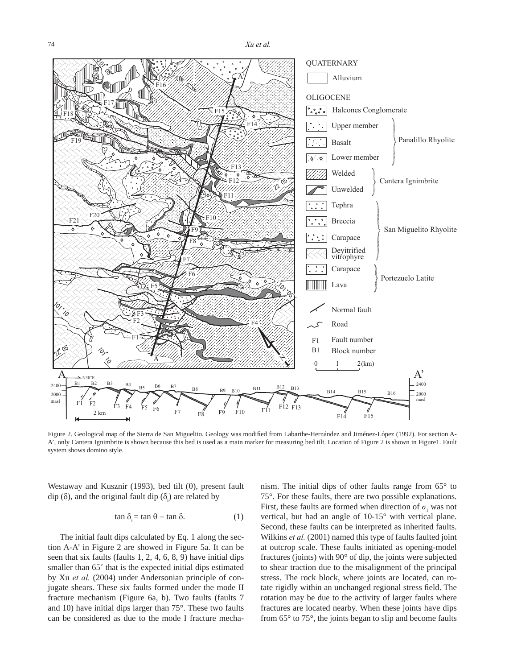



Figure 2. Geological map of the Sierra de San Miguelito. Geology was modified from Labarthe-Hernández and Jiménez-López (1992). For section A-A', only Cantera Ignimbrite is shown because this bed is used as a main marker for measuring bed tilt. Location of Figure 2 is shown in Figure1. Fault system shows domino style.

Westaway and Kusznir (1993), bed tilt (θ), present fault dip ( $\delta$ ), and the original fault dip ( $\delta$ <sub>i</sub>) are related by

$$
\tan \delta_i = \tan \theta + \tan \delta. \tag{1}
$$

The initial fault dips calculated by Eq. 1 along the section A-A' in Figure 2 are showed in Figure 5a. It can be seen that six faults (faults 1, 2, 4, 6, 8, 9) have initial dips smaller than 65° that is the expected initial dips estimated by Xu *et al.* (2004) under Andersonian principle of conjugate shears. These six faults formed under the mode II fracture mechanism (Figure 6a, b). Two faults (faults 7 and 10) have initial dips larger than 75°. These two faults can be considered as due to the mode I fracture mechanism. The initial dips of other faults range from 65° to 75°. For these faults, there are two possible explanations. First, these faults are formed when direction of  $\sigma_1$  was not vertical, but had an angle of 10-15° with vertical plane. Second, these faults can be interpreted as inherited faults. Wilkins *et al.* (2001) named this type of faults faulted joint at outcrop scale. These faults initiated as opening-model fractures (joints) with 90° of dip, the joints were subjected to shear traction due to the misalignment of the principal stress. The rock block, where joints are located, can rotate rigidly within an unchanged regional stress field. The rotation may be due to the activity of larger faults where fractures are located nearby. When these joints have dips from 65° to 75°, the joints began to slip and become faults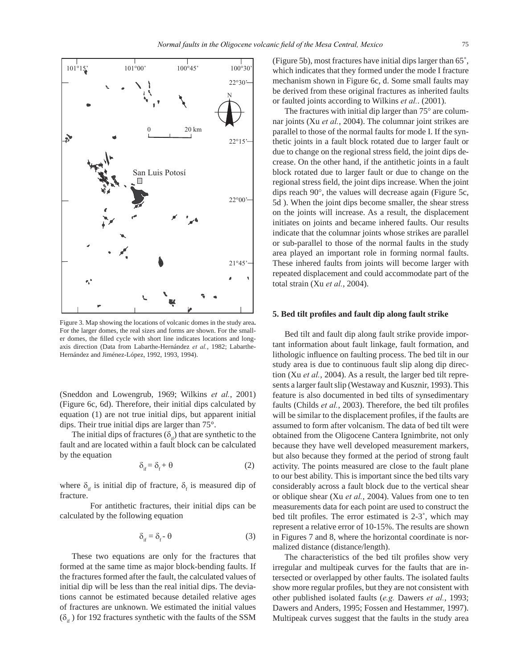

Figure 3. Map showing the locations of volcanic domes in the study area**.**  For the larger domes, the real sizes and forms are shown. For the smaller domes, the filled cycle with short line indicates locations and longaxis direction (Data from Labarthe-Hernández *et al.*, 1982; Labarthe-Hernández and Jiménez-López, 1992, 1993, 1994).

(Sneddon and Lowengrub, 1969; Wilkins *et al.*, 2001) (Figure 6c, 6d). Therefore, their initial dips calculated by equation (1) are not true initial dips, but apparent initial dips. Their true initial dips are larger than 75°.

The initial dips of fractures  $(\delta_{\alpha})$  that are synthetic to the fault and are located within a fault block can be calculated by the equation

$$
\delta_{\text{if}} = \delta_{\text{f}} + \theta \tag{2}
$$

where  $\delta_{if}$  is initial dip of fracture,  $\delta_{f}$  is measured dip of fracture.

 For antithetic fractures, their initial dips can be calculated by the following equation

$$
\delta_{\text{if}} = \delta_{\text{f}} - \theta \tag{3}
$$

These two equations are only for the fractures that formed at the same time as major block-bending faults. If the fractures formed after the fault, the calculated values of initial dip will be less than the real initial dips. The deviations cannot be estimated because detailed relative ages of fractures are unknown. We estimated the initial values  $(\delta_{if})$  for 192 fractures synthetic with the faults of the SSM (Figure 5b), most fractures have initial dips larger than 65˚, which indicates that they formed under the mode I fracture mechanism shown in Figure 6c, d. Some small faults may be derived from these original fractures as inherited faults or faulted joints according to Wilkins *et al.*. (2001).

The fractures with initial dip larger than 75° are columnar joints (Xu *et al.*, 2004). The columnar joint strikes are parallel to those of the normal faults for mode I. If the synthetic joints in a fault block rotated due to larger fault or due to change on the regional stress field, the joint dips decrease. On the other hand, if the antithetic joints in a fault block rotated due to larger fault or due to change on the regional stress field, the joint dips increase. When the joint dips reach 90°, the values will decrease again (Figure 5c, 5d ). When the joint dips become smaller, the shear stress on the joints will increase. As a result, the displacement initiates on joints and became inhered faults. Our results indicate that the columnar joints whose strikes are parallel or sub-parallel to those of the normal faults in the study area played an important role in forming normal faults. These inhered faults from joints will become larger with repeated displacement and could accommodate part of the total strain (Xu *et al.*, 2004).

#### **5. Bed tilt profi les and fault dip along fault strike**

Bed tilt and fault dip along fault strike provide important information about fault linkage, fault formation, and lithologic influence on faulting process. The bed tilt in our study area is due to continuous fault slip along dip direction (Xu *et al.*, 2004). As a result, the larger bed tilt represents a larger fault slip (Westaway and Kusznir, 1993). This feature is also documented in bed tilts of synsedimentary faults (Childs *et al.*, 2003). Therefore, the bed tilt profiles will be similar to the displacement profiles, if the faults are assumed to form after volcanism. The data of bed tilt were obtained from the Oligocene Cantera Ignimbrite, not only because they have well developed measurement markers, but also because they formed at the period of strong fault activity. The points measured are close to the fault plane to our best ability. This is important since the bed tilts vary considerably across a fault block due to the vertical shear or oblique shear (Xu *et al.*, 2004). Values from one to ten measurements data for each point are used to construct the bed tilt profiles. The error estimated is  $2-3^\circ$ , which may represent a relative error of 10-15%. The results are shown in Figures 7 and 8, where the horizontal coordinate is normalized distance (distance/length).

The characteristics of the bed tilt profiles show very irregular and multipeak curves for the faults that are intersected or overlapped by other faults. The isolated faults show more regular profiles, but they are not consistent with other published isolated faults (*e.g.* Dawers *et al.*, 1993; Dawers and Anders, 1995; Fossen and Hestammer, 1997). Multipeak curves suggest that the faults in the study area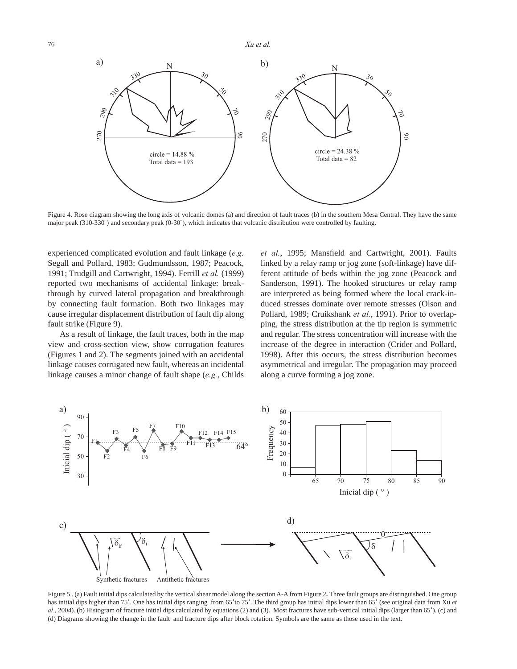76 *Xu et al.*



Figure 4. Rose diagram showing the long axis of volcanic domes (a) and direction of fault traces (b) in the southern Mesa Central. They have the same major peak (310-330˚) and secondary peak (0-30˚), which indicates that volcanic distribution were controlled by faulting.

experienced complicated evolution and fault linkage (*e.g.* Segall and Pollard, 1983; Gudmundsson, 1987; Peacock, 1991; Trudgill and Cartwright, 1994). Ferrill *et al.* (1999) reported two mechanisms of accidental linkage: breakthrough by curved lateral propagation and breakthrough by connecting fault formation. Both two linkages may cause irregular displacement distribution of fault dip along fault strike (Figure 9).

As a result of linkage, the fault traces, both in the map view and cross-section view, show corrugation features (Figures 1 and 2). The segments joined with an accidental linkage causes corrugated new fault, whereas an incidental linkage causes a minor change of fault shape (*e.g.*, Childs et al., 1995; Mansfield and Cartwright, 2001). Faults linked by a relay ramp or jog zone (soft-linkage) have different attitude of beds within the jog zone (Peacock and Sanderson, 1991). The hooked structures or relay ramp are interpreted as being formed where the local crack-induced stresses dominate over remote stresses (Olson and Pollard, 1989; Cruikshank *et al.*, 1991). Prior to overlapping, the stress distribution at the tip region is symmetric and regular. The stress concentration will increase with the increase of the degree in interaction (Crider and Pollard, 1998). After this occurs, the stress distribution becomes asymmetrical and irregular. The propagation may proceed along a curve forming a jog zone.



Figure 5 . (a) Fault initial dips calculated by the vertical shear model along the section A-A from Figure 2**.** Three fault groups are distinguished. One group has initial dips higher than 75°. One has initial dips ranging from 65°to 75°. The third group has initial dips lower than 65° (see original data from Xu *et al.*, 2004). **(**b) Histogram of fracture initial dips calculated by equations (2) and (3). Most fractures have sub-vertical initial dips (larger than 65˚). (c) and (d) Diagrams showing the change in the fault and fracture dips after block rotation. Symbols are the same as those used in the text.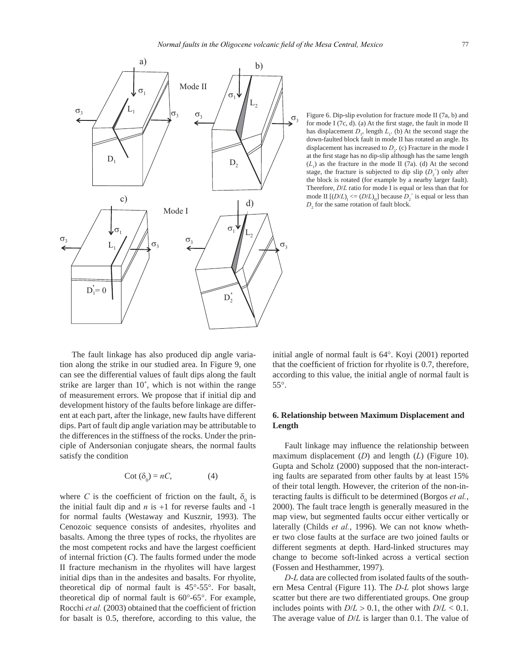

Figure 6. Dip-slip evolution for fracture mode II (7a, b) and for mode I  $(7c, d)$ . (a) At the first stage, the fault in mode II has displacement  $D_1$ , length  $L_1$ . (b) At the second stage the down-faulted block fault in mode II has rotated an angle. Its displacement has increased to  $D_2$ . (c) Fracture in the mode I at the first stage has no dip-slip although has the same length  $(L<sub>1</sub>)$  as the fracture in the mode II (7a). (d) At the second stage, the fracture is subjected to dip slip  $(D_2)$  only after the block is rotated (for example by a nearby larger fault). Therefore, *D*/*L* ratio for mode I is equal or less than that for mode II  $[(D/L)_{I} \leq (D/L)_{II}]$  because  $D_2$ <sup>2</sup> is equal or less than  $D_2$  for the same rotation of fault block.

The fault linkage has also produced dip angle variation along the strike in our studied area. In Figure 9, one can see the differential values of fault dips along the fault strike are larger than 10˚, which is not within the range of measurement errors. We propose that if initial dip and development history of the faults before linkage are different at each part, after the linkage, new faults have different dips. Part of fault dip angle variation may be attributable to the differences in the stiffness of the rocks. Under the principle of Andersonian conjugate shears, the normal faults satisfy the condition

$$
Cot (\delta_0) = nC,
$$
 (4)

where *C* is the coefficient of friction on the fault,  $\delta_0$  is the initial fault dip and  $n$  is  $+1$  for reverse faults and  $-1$ for normal faults (Westaway and Kusznir, 1993). The Cenozoic sequence consists of andesites, rhyolites and basalts. Among the three types of rocks, the rhyolites are the most competent rocks and have the largest coefficient of internal friction (*C*). The faults formed under the mode II fracture mechanism in the rhyolites will have largest initial dips than in the andesites and basalts. For rhyolite, theoretical dip of normal fault is 45°-55°. For basalt, theoretical dip of normal fault is 60°-65°. For example, Rocchi et al. (2003) obtained that the coefficient of friction for basalt is 0.5, therefore, according to this value, the

initial angle of normal fault is 64°. Koyi (2001) reported that the coefficient of friction for rhyolite is 0.7, therefore, according to this value, the initial angle of normal fault is 55°.

# **6. Relationship between Maximum Displacement and Length**

Fault linkage may influence the relationship between maximum displacement (*D*) and length (*L*) (Figure 10). Gupta and Scholz (2000) supposed that the non-interacting faults are separated from other faults by at least 15% of their total length. However, the criterion of the non-interacting faults is difficult to be determined (Borgos et al., 2000). The fault trace length is generally measured in the map view, but segmented faults occur either vertically or laterally (Childs *et al.*, 1996). We can not know whether two close faults at the surface are two joined faults or different segments at depth. Hard-linked structures may change to become soft-linked across a vertical section (Fossen and Hesthammer, 1997).

*D-L* data are collected from isolated faults of the southern Mesa Central (Figure 11). The *D-L* plot shows large scatter but there are two differentiated groups. One group includes points with  $D/L > 0.1$ , the other with  $D/L < 0.1$ . The average value of *D*/*L* is larger than 0.1. The value of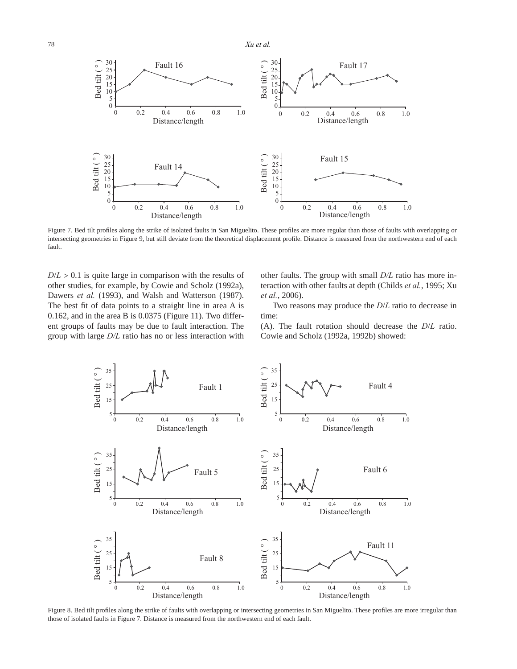78 *Xu et al.*



Figure 7. Bed tilt profiles along the strike of isolated faults in San Miguelito. These profiles are more regular than those of faults with overlapping or intersecting geometries in Figure 9, but still deviate from the theoretical displacement profile. Distance is measured from the northwestern end of each fault.

 $D/L > 0.1$  is quite large in comparison with the results of other studies, for example, by Cowie and Scholz (1992a), Dawers *et al.* (1993), and Walsh and Watterson (1987). The best fit of data points to a straight line in area A is 0.162, and in the area B is 0.0375 (Figure 11). Two different groups of faults may be due to fault interaction. The group with large *D/L* ratio has no or less interaction with other faults. The group with small *D/L* ratio has more interaction with other faults at depth (Childs *et al.*, 1995; Xu *et al.*, 2006).

Two reasons may produce the *D*/*L* ratio to decrease in time:

(A). The fault rotation should decrease the *D*/*L* ratio. Cowie and Scholz (1992a, 1992b) showed:



Figure 8. Bed tilt profiles along the strike of faults with overlapping or intersecting geometries in San Miguelito. These profiles are more irregular than those of isolated faults in Figure 7. Distance is measured from the northwestern end of each fault.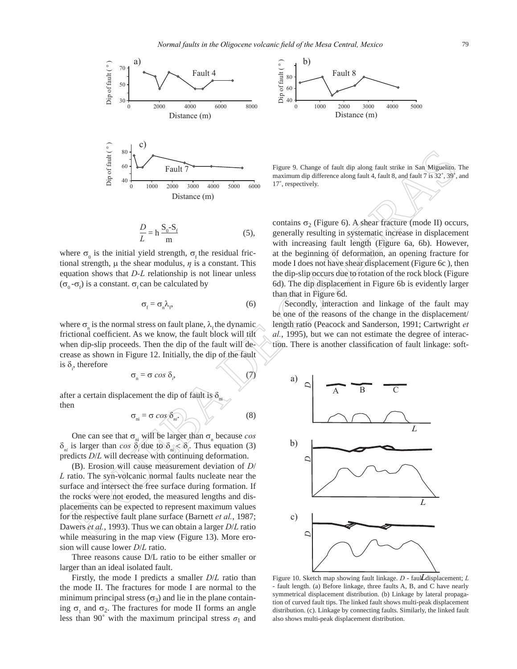



Figure 9. Change of fault dip along fault strike in San Miguelito. The maximum dip difference along fault 4, fault 8, and fault 7 is 32˚, 39˚, and 17˚, respectively.

$$
\frac{D}{L} = \ln \frac{S_0 - S_f}{m} \tag{5},
$$

where  $\sigma_0$  is the initial yield strength,  $\sigma_f$  the residual frictional strength, μ the shear modulus, *η* is a constant. This equation shows that *D-L* relationship is not linear unless  $(σ<sub>0</sub> - σ<sub>f</sub>)$  is a constant.  $σ<sub>f</sub>$  can be calculated by

$$
\sigma_{\rm f} = \sigma_{\rm n} \lambda_{\rm f},\tag{6}
$$

where  $\sigma_{n}$  is the normal stress on fault plane,  $\lambda_{f}$  the dynamic frictional coefficient. As we know, the fault block will tilt when dip-slip proceeds. Then the dip of the fault will decrease as shown in Figure 12. Initially, the dip of the fault is  $\delta$ <sub>i</sub>, therefore

$$
\sigma_{n} = \sigma \cos \delta_{i}, \qquad (7)
$$

after a certain displacement the dip of fault is  $\delta_m$ then

$$
\sigma_{ni} = \sigma \cos \delta_{ni}
$$
 (8)

One can see that  $\sigma_{ni}$  will be larger than  $\sigma_{ni}$  because *cos*  $\delta_{ni}$  is larger than *cos*  $\delta_i$  due to  $\delta_{ni} < \delta_i$ . Thus equation (3) predicts *D*/*L* will decrease with continuing deformation.

(B). Erosion will cause measurement deviation of *D*/ *L* ratio. The syn-volcanic normal faults nucleate near the surface and intersect the free surface during formation. If the rocks were not eroded, the measured lengths and displacements can be expected to represent maximum values for the respective fault plane surface (Barnett *et al.*, 1987; Dawers *et al.*, 1993). Thus we can obtain a larger *D*/*L* ratio while measuring in the map view (Figure 13). More erosion will cause lower *D*/*L* ratio.

Three reasons cause D/L ratio to be either smaller or larger than an ideal isolated fault.

Firstly, the mode I predicts a smaller *D*/*L* ratio than the mode II. The fractures for mode I are normal to the minimum principal stress  $(\sigma_3)$  and lie in the plane containing  $\sigma_1$  and  $\sigma_2$ . The fractures for mode II forms an angle less than 90 $\degree$  with the maximum principal stress  $\sigma_1$  and

contains  $\sigma_2$  (Figure 6). A shear fracture (mode II) occurs, generally resulting in systematic increase in displacement with increasing fault length (Figure 6a, 6b). However, at the beginning of deformation, an opening fracture for mode I does not have shear displacement (Figure 6c ), then the dip-slip occurs due to rotation of the rock block (Figure 6d). The dip displacement in Figure 6b is evidently larger than that in Figure 6d.

Secondly, interaction and linkage of the fault may be one of the reasons of the change in the displacement/ length ratio (Peacock and Sanderson, 1991; Cartwright *et al.*, 1995), but we can not estimate the degree of interaction. There is another classification of fault linkage: soft-



Figure 10. Sketch map showing fault linkage. *D* - faul*L* displacement; *L* - fault length. (a) Before linkage, three faults A, B, and C have nearly symmetrical displacement distribution. (b) Linkage by lateral propagation of curved fault tips. The linked fault shows multi-peak displacement distribution. (c). Linkage by connecting faults. Similarly, the linked fault also shows multi-peak displacement distribution.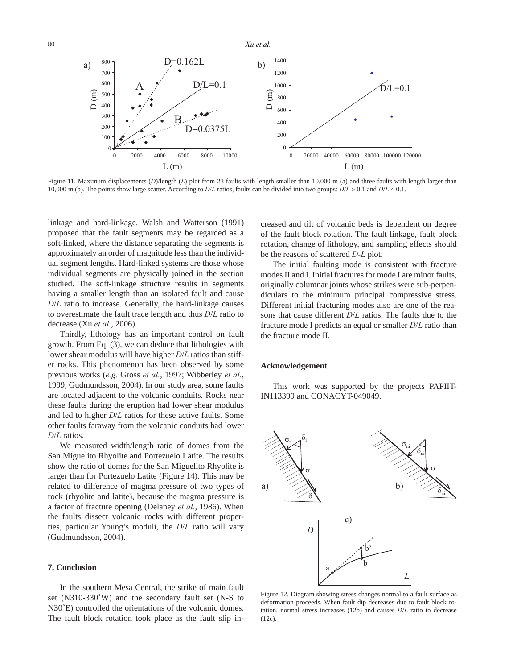

Figure 11. Maximum displacements (D)/length (L) plot from 23 faults with length smaller than 10,000 m (a) and three faults with length larger than 10,000 m (b). The points show large scatter. According to *D*/*L* ratios, faults can be divided into two groups: *D*/*L* > 0.1 and *D*/*L* < 0.1.

linkage and hard-linkage. Walsh and Watterson (1991) proposed that the fault segments may be regarded as a soft-linked, where the distance separating the segments is approximately an order of magnitude less than the individual segment lengths. Hard-linked systems are those whose individual segments are physically joined in the section studied. The soft-linkage structure results in segments having a smaller length than an isolated fault and cause *D*/*L* ratio to increase. Generally, the hard-linkage causes to overestimate the fault trace length and thus *D*/*L* ratio to decrease (Xu *et al.*, 2006).

Thirdly, lithology has an important control on fault growth. From Eq. (3), we can deduce that lithologies with lower shear modulus will have higher *D*/*L* ratios than stiffer rocks. This phenomenon has been observed by some previous works (*e.g.* Gross *et al.*, 1997; Wibberley *et al.*, 1999; Gudmundsson, 2004). In our study area, some faults are located adjacent to the volcanic conduits. Rocks near these faults during the eruption had lower shear modulus and led to higher *D*/*L* ratios for these active faults. Some other faults faraway from the volcanic conduits had lower *D*/*L* ratios.

We measured width/length ratio of domes from the San Miguelito Rhyolite and Portezuelo Latite. The results show the ratio of domes for the San Miguelito Rhyolite is larger than for Portezuelo Latite (Figure 14). This may be related to difference of magma pressure of two types of rock (rhyolite and latite), because the magma pressure is a factor of fracture opening (Delaney *et al.*, 1986). When the faults dissect volcanic rocks with different properties, particular Young's moduli, the *D*/*L* ratio will vary (Gudmundsson, 2004).

# **7. Conclusion**

In the southern Mesa Central, the strike of main fault set (N310-330˚W) and the secondary fault set (N-S to N30˚E) controlled the orientations of the volcanic domes. The fault block rotation took place as the fault slip increased and tilt of volcanic beds is dependent on degree of the fault block rotation. The fault linkage, fault block rotation, change of lithology, and sampling effects should be the reasons of scattered *D-L* plot.

The initial faulting mode is consistent with fracture modes II and I. Initial fractures for mode I are minor faults, originally columnar joints whose strikes were sub-perpendiculars to the minimum principal compressive stress. Different initial fracturing modes also are one of the reasons that cause different *D*/*L* ratios. The faults due to the fracture mode I predicts an equal or smaller *D*/*L* ratio than the fracture mode II.

#### **Acknowledgement**

This work was supported by the projects PAPIIT-IN113399 and CONACYT-049049.



Figure 12. Diagram showing stress changes normal to a fault surface as deformation proceeds. When fault dip decreases due to fault block rotation, normal stress increases (12b) and causes *D*/*L* ratio to decrease (12c).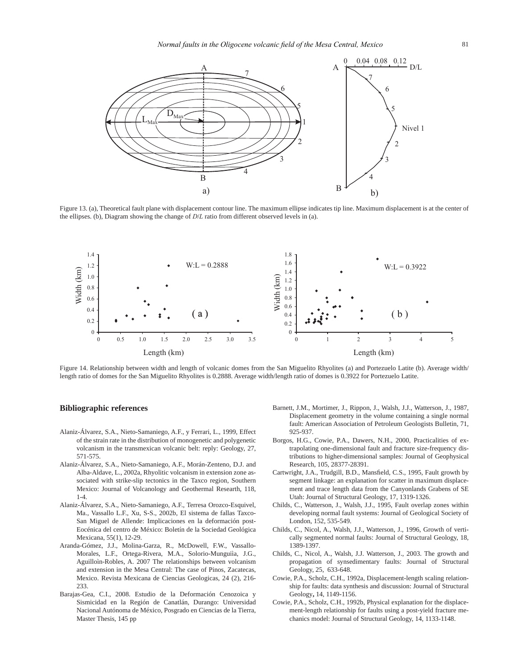

Figure 13. (a), Theoretical fault plane with displacement contour line. The maximum ellipse indicates tip line. Maximum displacement is at the center of the ellipses. (b), Diagram showing the change of *D*/*L* ratio from different observed levels in (a).



Figure 14. Relationship between width and length of volcanic domes from the San Miguelito Rhyolites (a) and Portezuelo Latite (b). Average width/ length ratio of domes for the San Miguelito Rhyolites is 0.2888. Average width/length ratio of domes is 0.3922 for Portezuelo Latite.

#### **Bibliographic references**

- Alaniz-Álvarez, S.A., Nieto-Samaniego, A.F., y Ferrari, L., 1999, Effect of the strain rate in the distribution of monogenetic and polygenetic volcanism in the transmexican volcanic belt: reply: Geology, 27, 571-575.
- Alaniz-Álvarez, S.A., Nieto-Samaniego, A.F., Morán-Zenteno, D.J. and Alba-Aldave, L., 2002a, Rhyolitic volcanism in extension zone associated with strike-slip tectonics in the Taxco region, Southern Mexico: Journal of Volcanology and Geothermal Researth, 118, 1-4.
- Alaniz-Álvarez, S.A., Nieto-Samaniego, A.F., Terresa Orozco-Esquivel, Ma., Vassallo L.F., Xu, S-S., 2002b, El sistema de fallas Taxco-San Miguel de Allende: Implicaciones en la deformación post-Eocénica del centro de México: Boletín de la Sociedad Geológica Mexicana, 55(1), 12-29.
- Aranda-Gómez, J.J., Molina-Garza, R., McDowell, F.W., Vassallo-Morales, L.F., Ortega-Rivera, M.A., Solorio-Munguiìa, J.G., Aguilloìn-Robles, A. 2007 The relationships between volcanism and extension in the Mesa Central: The case of Pinos, Zacatecas, Mexico. Revista Mexicana de Ciencias Geologicas, 24 (2), 216- 233.
- Barajas-Gea, C.I., 2008. Estudio de la Deformación Cenozoica y Sismicidad en la Región de Canatlán, Durango: Universidad Nacional Autónoma de México, Posgrado en Ciencias de la Tierra, Master Thesis, 145 pp
- Barnett, J.M., Mortimer, J., Rippon, J., Walsh, J.J., Watterson, J., 1987, Displacement geometry in the volume containing a single normal fault: American Association of Petroleum Geologists Bulletin, 71, 925-937.
- Borgos, H.G., Cowie, P.A., Dawers, N.H., 2000, Practicalities of extrapolating one-dimensional fault and fracture size-frequency distributions to higher-dimensional samples: Journal of Geophysical Research, 105, 28377-28391.
- Cartwright, J.A., Trudgill, B.D., Mansfield, C.S., 1995, Fault growth by segment linkage: an explanation for scatter in maximum displacement and trace length data from the Canyonlands Grabens of SE Utah: Journal of Structural Geology, 17, 1319-1326.
- Childs, C., Watterson, J., Walsh, J.J., 1995, Fault overlap zones within developing normal fault systems: Journal of Geological Society of London, 152, 535-549.
- Childs, C., Nicol, A., Walsh, J.J., Watterson, J., 1996, Growth of vertically segmented normal faults: Journal of Structural Geology, 18, 1389-1397.
- Childs, C., Nicol, A., Walsh, J.J. Watterson, J., 2003. The growth and propagation of synsedimentary faults: Journal of Structural Geology, 25, 633-648.
- Cowie, P.A., Scholz, C.H., 1992a, Displacement-length scaling relationship for faults: data synthesis and discussion: Journal of Structural Geology**,** 14, 1149-1156.
- Cowie, P.A., Scholz, C.H., 1992b, Physical explanation for the displacement-length relationship for faults using a post-yield fracture mechanics model: Journal of Structural Geology, 14, 1133-1148.